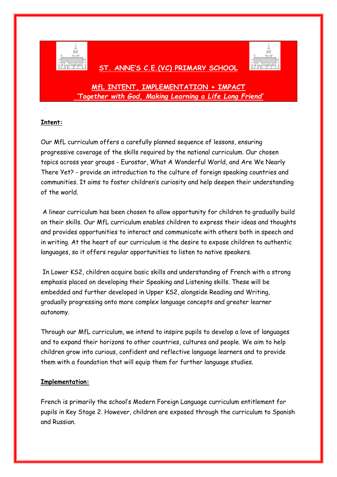

## **ST. ANNE'S C.E.(VC) PRIMARY SCHOOL**



# **MfL INTENT, IMPLEMENTATION + IMPACT** *'Together with God, Making Learning a Life Long Friend'*

### **Intent:**

Our MfL curriculum offers a carefully planned sequence of lessons, ensuring progressive coverage of the skills required by the national curriculum. Our chosen topics across year groups - Eurostar, What A Wonderful World, and Are We Nearly There Yet? - provide an introduction to the culture of foreign speaking countries and communities. It aims to foster children's curiosity and help deepen their understanding of the world.

A linear curriculum has been chosen to allow opportunity for children to gradually build on their skills. Our MfL curriculum enables children to express their ideas and thoughts and provides opportunities to interact and communicate with others both in speech and in writing. At the heart of our curriculum is the desire to expose children to authentic languages, so it offers regular opportunities to listen to native speakers.

In Lower KS2, children acquire basic skills and understanding of French with a strong emphasis placed on developing their Speaking and Listening skills. These will be embedded and further developed in Upper KS2, alongside Reading and Writing, gradually progressing onto more complex language concepts and greater learner autonomy.

Through our MfL curriculum, we intend to inspire pupils to develop a love of languages and to expand their horizons to other countries, cultures and people. We aim to help children grow into curious, confident and reflective language learners and to provide them with a foundation that will equip them for further language studies.

#### **Implementation:**

French is primarily the school's Modern Foreign Language curriculum entitlement for pupils in Key Stage 2. However, children are exposed through the curriculum to Spanish and Russian.